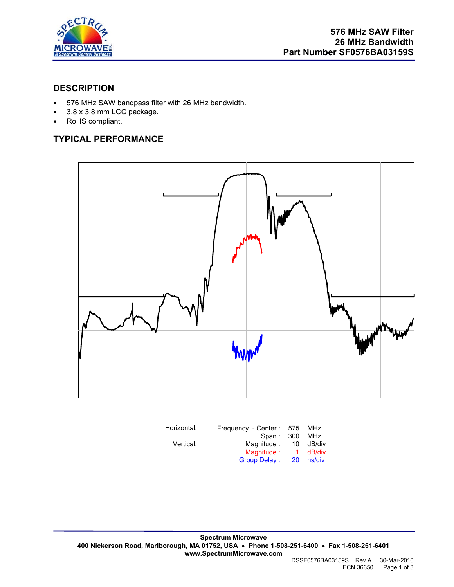

## **DESCRIPTION**

- 576 MHz SAW bandpass filter with 26 MHz bandwidth.
- 3.8 x 3.8 mm LCC package.
- RoHS compliant.

# **TYPICAL PERFORMANCE**



| Horizontal: | Frequency - Center: 575 |              | <b>MHz</b> |
|-------------|-------------------------|--------------|------------|
|             | Span:                   | -300         | MHz        |
| Vertical:   | Magnitude:              | 10           | dB/div     |
|             | Magnitude:              | $\mathbf{1}$ | dB/div     |
|             | <b>Group Delay:</b>     | 20           | ns/div     |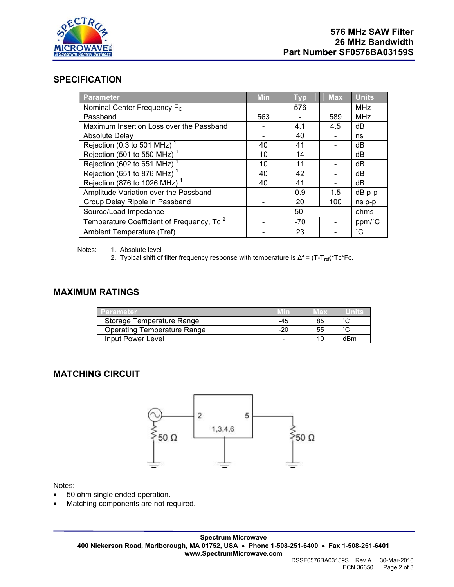

### **SPECIFICATION**

| Parameter                                             | <b>Min</b> | <b>Typ</b> | <b>Max</b> | <b>Units</b>    |
|-------------------------------------------------------|------------|------------|------------|-----------------|
| Nominal Center Frequency F <sub>c</sub>               |            | 576        |            | <b>MHz</b>      |
| Passband                                              | 563        |            | 589        | <b>MHz</b>      |
| Maximum Insertion Loss over the Passband              |            | 4.1        | 4.5        | dB              |
| Absolute Delay                                        |            | 40         |            | ns              |
| Rejection (0.3 to 501 MHz)                            | 40         | 41         |            | dB              |
| Rejection (501 to 550 MHz) <sup>1</sup>               | 10         | 14         |            | dB              |
| Rejection (602 to 651 MHz) <sup>1</sup>               | 10         | 11         |            | dB              |
| Rejection (651 to 876 MHz)                            | 40         | 42         |            | dB              |
| Rejection (876 to 1026 MHz) <sup>1</sup>              | 40         | 41         |            | dB              |
| Amplitude Variation over the Passband                 |            | 0.9        | 1.5        | $dB$ $p-p$      |
| Group Delay Ripple in Passband                        |            | 20         | 100        | ns p-p          |
| Source/Load Impedance                                 |            | 50         |            | ohms            |
| Temperature Coefficient of Frequency, Tc <sup>2</sup> |            | $-70$      |            | ppm/°C          |
| Ambient Temperature (Tref)                            |            | 23         |            | $\rm ^{\circ}C$ |

Notes: 1. Absolute level

2. Typical shift of filter frequency response with temperature is  $\Delta f = (T - T_{ref})^*Tc^*Fc$ .

#### **MAXIMUM RATINGS**

| <b>Parameter</b>            |     | wax | unns   |
|-----------------------------|-----|-----|--------|
| Storage Temperature Range   | -45 | 85  | $\sim$ |
| Operating Temperature Range | -20 | 55  | $\sim$ |
| Input Power Level           |     |     | dBm    |

#### **MATCHING CIRCUIT**



Notes:

- 50 ohm single ended operation.
- Matching components are not required.